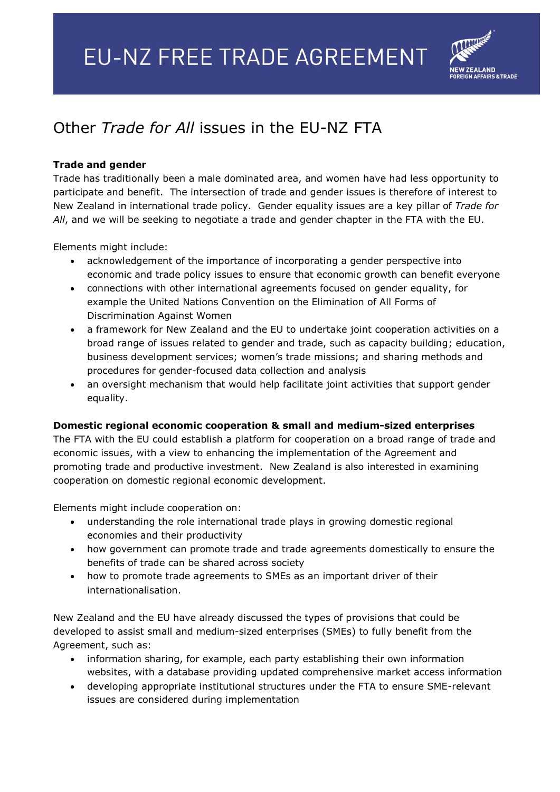

## Other *Trade for All* issues in the EU-NZ FTA

## **Trade and gender**

Trade has traditionally been a male dominated area, and women have had less opportunity to participate and benefit. The intersection of trade and gender issues is therefore of interest to New Zealand in international trade policy. Gender equality issues are a key pillar of *Trade for All*, and we will be seeking to negotiate a trade and gender chapter in the FTA with the EU.

Elements might include:

- acknowledgement of the importance of incorporating a gender perspective into economic and trade policy issues to ensure that economic growth can benefit everyone
- connections with other international agreements focused on gender equality, for example the United Nations Convention on the Elimination of All Forms of Discrimination Against Women
- a framework for New Zealand and the EU to undertake joint cooperation activities on a broad range of issues related to gender and trade, such as capacity building; education, business development services; women's trade missions; and sharing methods and procedures for gender-focused data collection and analysis
- an oversight mechanism that would help facilitate joint activities that support gender equality.

## **Domestic regional economic cooperation & small and medium-sized enterprises**

The FTA with the EU could establish a platform for cooperation on a broad range of trade and economic issues, with a view to enhancing the implementation of the Agreement and promoting trade and productive investment. New Zealand is also interested in examining cooperation on domestic regional economic development.

Elements might include cooperation on:

- understanding the role international trade plays in growing domestic regional economies and their productivity
- how government can promote trade and trade agreements domestically to ensure the benefits of trade can be shared across society
- how to promote trade agreements to SMEs as an important driver of their internationalisation.

New Zealand and the EU have already discussed the types of provisions that could be developed to assist small and medium-sized enterprises (SMEs) to fully benefit from the Agreement, such as:

- information sharing, for example, each party establishing their own information websites, with a database providing updated comprehensive market access information
- developing appropriate institutional structures under the FTA to ensure SME-relevant issues are considered during implementation